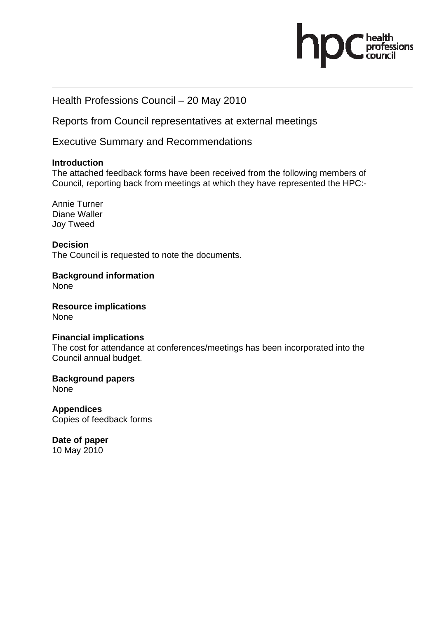# ofessions

# Health Professions Council – 20 May 2010

Reports from Council representatives at external meetings

Executive Summary and Recommendations

#### **Introduction**

The attached feedback forms have been received from the following members of Council, reporting back from meetings at which they have represented the HPC:-

Annie Turner Diane Waller Joy Tweed

**Decision**  The Council is requested to note the documents.

**Background information**  None

**Resource implications**  None

#### **Financial implications**

The cost for attendance at conferences/meetings has been incorporated into the Council annual budget.

**Background papers**  None

**Appendices**  Copies of feedback forms

**Date of paper**  10 May 2010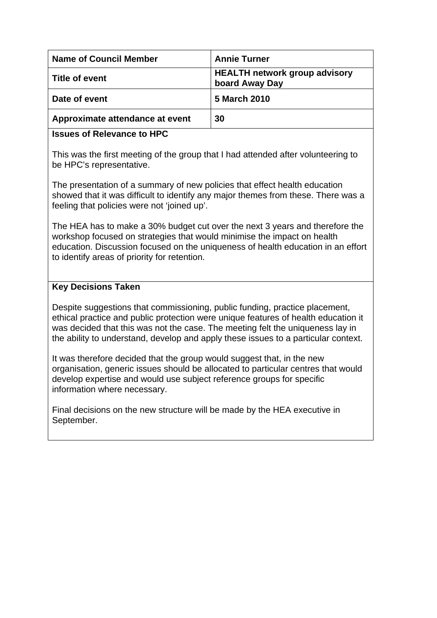| <b>Name of Council Member</b>   | <b>Annie Turner</b>                                    |
|---------------------------------|--------------------------------------------------------|
| ∣ Title of event                | <b>HEALTH network group advisory</b><br>board Away Day |
| Date of event                   | 5 March 2010                                           |
| Approximate attendance at event | 30                                                     |

#### **Issues of Relevance to HPC**

This was the first meeting of the group that I had attended after volunteering to be HPC's representative.

The presentation of a summary of new policies that effect health education showed that it was difficult to identify any major themes from these. There was a feeling that policies were not 'joined up'.

The HEA has to make a 30% budget cut over the next 3 years and therefore the workshop focused on strategies that would minimise the impact on health education. Discussion focused on the uniqueness of health education in an effort to identify areas of priority for retention.

## **Key Decisions Taken**

Despite suggestions that commissioning, public funding, practice placement, ethical practice and public protection were unique features of health education it was decided that this was not the case. The meeting felt the uniqueness lay in the ability to understand, develop and apply these issues to a particular context.

It was therefore decided that the group would suggest that, in the new organisation, generic issues should be allocated to particular centres that would develop expertise and would use subject reference groups for specific information where necessary.

Final decisions on the new structure will be made by the HEA executive in September.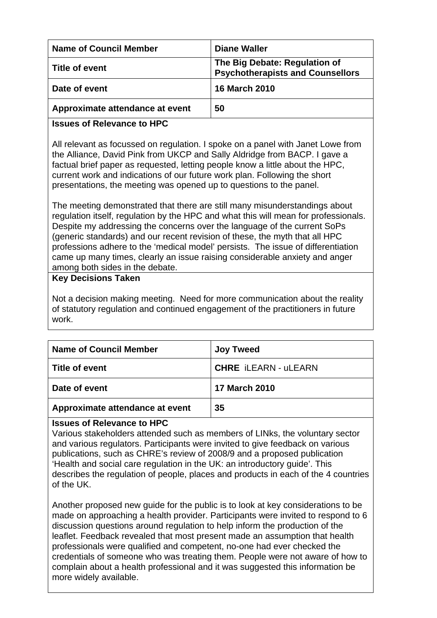| <b>Name of Council Member</b>   | Diane Waller                                                             |
|---------------------------------|--------------------------------------------------------------------------|
| Title of event                  | The Big Debate: Regulation of<br><b>Psychotherapists and Counsellors</b> |
| Date of event                   | <b>16 March 2010</b>                                                     |
| Approximate attendance at event | 50                                                                       |
|                                 |                                                                          |

# **Issues of Relevance to HPC**

All relevant as focussed on regulation. I spoke on a panel with Janet Lowe from the Alliance, David Pink from UKCP and Sally Aldridge from BACP. I gave a factual brief paper as requested, letting people know a little about the HPC, current work and indications of our future work plan. Following the short presentations, the meeting was opened up to questions to the panel.

The meeting demonstrated that there are still many misunderstandings about regulation itself, regulation by the HPC and what this will mean for professionals. Despite my addressing the concerns over the language of the current SoPs (generic standards) and our recent revision of these, the myth that all HPC professions adhere to the 'medical model' persists. The issue of differentiation came up many times, clearly an issue raising considerable anxiety and anger among both sides in the debate.

## **Key Decisions Taken**

Not a decision making meeting. Need for more communication about the reality of statutory regulation and continued engagement of the practitioners in future work.

| <b>Name of Council Member</b>   | <b>Joy Tweed</b>            |
|---------------------------------|-----------------------------|
| Title of event                  | <b>CHRE iLEARN</b> - uLEARN |
| Date of event                   | <b>17 March 2010</b>        |
| Approximate attendance at event | 35                          |

## **Issues of Relevance to HPC**

Various stakeholders attended such as members of LINks, the voluntary sector and various regulators. Participants were invited to give feedback on various publications, such as CHRE's review of 2008/9 and a proposed publication 'Health and social care regulation in the UK: an introductory guide'. This describes the regulation of people, places and products in each of the 4 countries of the UK.

Another proposed new guide for the public is to look at key considerations to be made on approaching a health provider. Participants were invited to respond to 6 discussion questions around regulation to help inform the production of the leaflet. Feedback revealed that most present made an assumption that health professionals were qualified and competent, no-one had ever checked the credentials of someone who was treating them. People were not aware of how to complain about a health professional and it was suggested this information be more widely available.